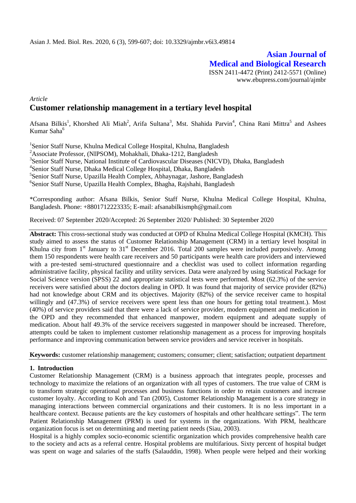# **Asian Journal of Medical and Biological Research** ISSN 2411-4472 (Print) 2412-5571 (Online)

www.ebupress.com/journal/ajmbr

# *Article* **Customer relationship management in a tertiary level hospital**

Afsana Bilkis<sup>1</sup>, Khorshed Ali Miah<sup>2</sup>, Arifa Sultana<sup>3</sup>, Mst. Shahida Parvin<sup>4</sup>, China Rani Mittra<sup>5</sup> and Ashees Kumar Saha<sup>6</sup>

<sup>1</sup>Senior Staff Nurse, Khulna Medical College Hospital, Khulna, Bangladesh <sup>2</sup>Associate Professor, (NIPSOM), Mohakhali, Dhaka-1212, Bangladesh <sup>3</sup>Senior Staff Nurse, National Institute of Cardiovascular Diseases (NICVD), Dhaka, Bangladesh 4 Senior Staff Nurse, Dhaka Medical College Hospital, Dhaka, Bangladesh 5 Senior Staff Nurse, Upazilla Health Complex, Abhaynagar, Jashore, Bangladesh 6 Senior Staff Nurse, Upazilla Health Complex, Bhagha, Rajshahi, Bangladesh

\*Corresponding author: Afsana Bilkis, Senior Staff Nurse, Khulna Medical College Hospital, Khulna, Bangladesh. Phone: +8801712223335; E-mail: afsanabilkismph@gmail.com

Received: 07 September 2020/Accepted: 26 September 2020/ Published: 30 September 2020

**Abstract:** This cross-sectional study was conducted at OPD of Khulna Medical College Hospital (KMCH). This study aimed to assess the status of Customer Relationship Management (CRM) in a tertiary level hospital in Khulna city from 1<sup>st</sup> January to 31<sup>st</sup> December 2016. Total 200 samples were included purposively. Among them 150 respondents were health care receivers and 50 participants were health care providers and interviewed with a pre-tested semi-structured questionnaire and a checklist was used to collect information regarding administrative facility, physical facility and utility services. Data were analyzed by using Statistical Package for Social Science version (SPSS) 22 and appropriate statistical tests were performed. Most (62.3%) of the service receivers were satisfied about the doctors dealing in OPD. It was found that majority of service provider (82%) had not knowledge about CRM and its objectives. Majority (82%) of the service receiver came to hospital willingly and (47.3%) of service receivers were spent less than one hours for getting total treatment.). Most (40%) of service providers said that there were a lack of service provider, modern equipment and medication in the OPD and they recommended that enhanced manpower, modern equipment and adequate supply of medication. About half 49.3% of the service receivers suggested in manpower should be increased. Therefore, attempts could be taken to implement customer relationship management as a process for improving hospitals performance and improving communication between service providers and service receiver in hospitals.

**Keywords:** customer relationship management; customers; consumer; client; satisfaction; outpatient department

### **1. Introduction**

Customer Relationship Management (CRM) is a business approach that integrates people, processes and technology to maximize the relations of an organization with all types of customers. The true value of CRM is to transform strategic operational processes and business functions in order to retain customers and increase customer loyalty. According to Koh and Tan (2005), Customer Relationship Management is a core strategy in managing interactions between commercial organizations and their customers. It is no less important in a healthcare context. Because patients are the key customers of hospitals and other healthcare settings". The term Patient Relationship Management (PRM) is used for systems in the organizations. With PRM, healthcare organization focus is set on determining and meeting patient needs (Siau, 2003).

Hospital is a highly complex socio-economic scientific organization which provides comprehensive health care to the society and acts as a referral centre. Hospital problems are multifarious. Sixty percent of hospital budget was spent on wage and salaries of the staffs (Salauddin, 1998). When people were helped and their working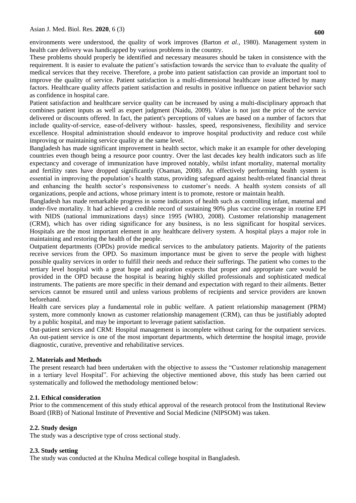environments were understood, the quality of work improves (Barton *et al*., 1980). Management system in health care delivery was handicapped by various problems in the country.

These problems should properly be identified and necessary measures should be taken in consistence with the requirement. It is easier to evaluate the patient's satisfaction towards the service than to evaluate the quality of medical services that they receive. Therefore, a probe into patient satisfaction can provide an important tool to improve the quality of service. Patient satisfaction is a multi-dimensional healthcare issue affected by many factors. Healthcare quality affects patient satisfaction and results in positive influence on patient behavior such as confidence in hospital care.

Patient satisfaction and healthcare service quality can be increased by using a multi-disciplinary approach that combines patient inputs as well as expert judgment (Naidu, 2009). Value is not just the price of the service delivered or discounts offered. In fact, the patient's perceptions of values are based on a number of factors that include quality-of-service, ease-of-delivery without- hassles, speed, responsiveness, flexibility and service excellence. Hospital administration should endeavor to improve hospital productivity and reduce cost while improving or maintaining service quality at the same level.

Bangladesh has made significant improvement in health sector, which make it an example for other developing countries even though being a resource poor country. Over the last decades key health indicators such as life expectancy and coverage of immunization have improved notably, whilst infant mortality, maternal mortality and fertility rates have dropped significantly (Osaman, 2008). An effectively performing health system is essential in improving the population's health status, providing safeguard against health-related financial threat and enhancing the health sector's responsiveness to customer's needs. A health system consists of all organizations, people and actions, whose primary intent is to promote, restore or maintain health.

Bangladesh has made remarkable progress in some indicators of health such as controlling infant, maternal and under-five mortality. It had achieved a credible record of sustaining 90% plus vaccine coverage in routine EPI with NIDS (national immunizations days) since 1995 (WHO, 2008). Customer relationship management (CRM), which has over riding significance for any business, is no less significant for hospital services. Hospitals are the most important element in any healthcare delivery system. A hospital plays a major role in maintaining and restoring the health of the people.

Outpatient departments (OPDs) provide medical services to the ambulatory patients. Majority of the patients receive services from the OPD. So maximum importance must be given to serve the people with highest possible quality services in order to fulfill their needs and reduce their sufferings. The patient who comes to the tertiary level hospital with a great hope and aspiration expects that proper and appropriate care would be provided in the OPD because the hospital is bearing highly skilled professionals and sophisticated medical instruments. The patients are more specific in their demand and expectation with regard to their ailments. Better services cannot be ensured until and unless various problems of recipients and service providers are known beforehand.

Health care services play a fundamental role in public welfare. A patient relationship management (PRM) system, more commonly known as customer relationship management (CRM), can thus be justifiably adopted by a public hospital, and may be important to leverage patient satisfaction.

Out-patient services and CRM: Hospital management is incomplete without caring for the outpatient services. An out-patient service is one of the most important departments, which determine the hospital image, provide diagnostic, curative, preventive and rehabilitative services.

## **2. Materials and Methods**

The present research had been undertaken with the objective to assess the "Customer relationship management in a tertiary level Hospital". For achieving the objective mentioned above, this study has been carried out systematically and followed the methodology mentioned below:

### **2.1. Ethical consideration**

Prior to the commencement of this study ethical approval of the research protocol from the Institutional Review Board (IRB) of National Institute of Preventive and Social Medicine (NIPSOM) was taken.

### **2.2. Study design**

The study was a descriptive type of cross sectional study.

### **2.3. Study setting**

The study was conducted at the Khulna Medical college hospital in Bangladesh.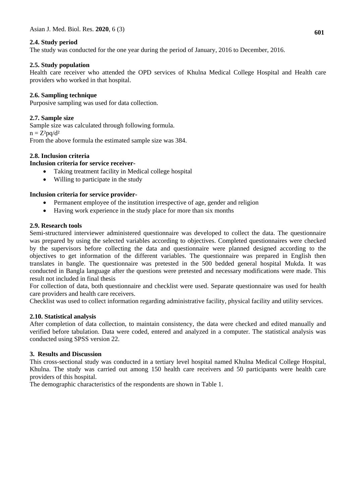## **2.4. Study period**

The study was conducted for the one year during the period of January, 2016 to December, 2016.

### **2.5. Study population**

Health care receiver who attended the OPD services of Khulna Medical College Hospital and Health care providers who worked in that hospital.

## **2.6. Sampling technique**

Purposive sampling was used for data collection.

## **2.7. Sample size**

Sample size was calculated through following formula.  $n = Z^2pq/d^2$ 

From the above formula the estimated sample size was 384.

## **2.8. Inclusion criteria**

## **Inclusion criteria for service receiver-**

- Taking treatment facility in Medical college hospital
- Willing to participate in the study

## **Inclusion criteria for service provider-**

- Permanent employee of the institution irrespective of age, gender and religion
- Having work experience in the study place for more than six months

### **2.9. Research tools**

Semi-structured interviewer administered questionnaire was developed to collect the data. The questionnaire was prepared by using the selected variables according to objectives. Completed questionnaires were checked by the supervisors before collecting the data and questionnaire were planned designed according to the objectives to get information of the different variables. The questionnaire was prepared in English then translates in bangle. The questionnaire was pretested in the 500 bedded general hospital Mukda. It was conducted in Bangla language after the questions were pretested and necessary modifications were made. This result not included in final thesis

For collection of data, both questionnaire and checklist were used. Separate questionnaire was used for health care providers and health care receivers.

Checklist was used to collect information regarding administrative facility, physical facility and utility services.

### **2.10. Statistical analysis**

After completion of data collection, to maintain consistency, the data were checked and edited manually and verified before tabulation. Data were coded, entered and analyzed in a computer. The statistical analysis was conducted using SPSS version 22.

### **3. Results and Discussion**

This cross-sectional study was conducted in a tertiary level hospital named Khulna Medical College Hospital, Khulna. The study was carried out among 150 health care receivers and 50 participants were health care providers of this hospital.

The demographic characteristics of the respondents are shown in Table 1.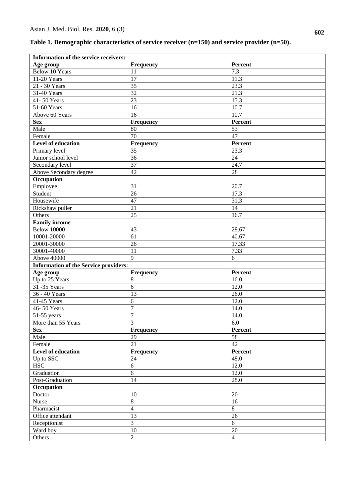|  |  |  |  |  | Table 1. Demographic characteristics of service receiver (n=150) and service provider (n=50). |  |
|--|--|--|--|--|-----------------------------------------------------------------------------------------------|--|
|--|--|--|--|--|-----------------------------------------------------------------------------------------------|--|

| Information of the service receivers:        |                          |                |  |  |  |
|----------------------------------------------|--------------------------|----------------|--|--|--|
| Age group                                    | <b>Frequency</b>         | Percent        |  |  |  |
| <b>Below 10 Years</b>                        | 11                       | 7.3            |  |  |  |
| 11-20 Years                                  | 17                       | 11.3           |  |  |  |
| 21 - 30 Years                                | 35                       | 23.3           |  |  |  |
| 31-40 Years                                  | 32                       | 21.3           |  |  |  |
| 41-50 Years                                  | 23                       | 15.3           |  |  |  |
| 51-60 Years                                  | 16                       | 10.7           |  |  |  |
| Above 60 Years                               | 16                       | 10.7           |  |  |  |
| <b>Sex</b>                                   | Frequency                | Percent        |  |  |  |
| Male                                         | 80                       | 53             |  |  |  |
| Female                                       | 70                       | 47             |  |  |  |
| Level of education                           | Frequency                | Percent        |  |  |  |
| Primary level                                | 35                       | 23.3           |  |  |  |
| Junior school level                          | 36                       | 24             |  |  |  |
| Secondary level                              | 37                       | 24.7           |  |  |  |
| Above Secondary degree                       | 42                       | 28             |  |  |  |
| Occupation                                   |                          |                |  |  |  |
| Employee                                     | 31                       | 20.7           |  |  |  |
| Student                                      | 26                       | 17.3           |  |  |  |
| Housewife                                    | 47                       | 31.3           |  |  |  |
| Rickshaw puller                              | 21                       | 14             |  |  |  |
| Others                                       | 25                       | 16.7           |  |  |  |
| <b>Family income</b>                         |                          |                |  |  |  |
| <b>Below 10000</b>                           | 43                       | 28.67          |  |  |  |
| 10001-20000                                  | 61                       | 40.67          |  |  |  |
| 20001-30000                                  | 26                       | 17.33          |  |  |  |
| 30001-40000                                  | 11                       | 7.33           |  |  |  |
| <b>Above 40000</b>                           | 9                        | 6              |  |  |  |
| <b>Information of the Service providers:</b> |                          |                |  |  |  |
| Age group                                    | Frequency                | Percent        |  |  |  |
| Up to 25 Years                               | $\,8\,$                  | 16.0           |  |  |  |
| 31-35 Years                                  | 6                        | 12.0           |  |  |  |
| 36 - 40 Years                                | 13                       | 26.0           |  |  |  |
| 41-45 Years                                  | $\sqrt{6}$               | 12.0           |  |  |  |
| 46-50 Years                                  | 7                        | 14.0           |  |  |  |
| $\overline{51}$ -55 years                    | 7                        | 14.0           |  |  |  |
| More than 55 Years                           | 3                        | 6.0            |  |  |  |
| <b>Sex</b>                                   | <b>Frequency</b>         | Percent        |  |  |  |
| Male                                         | 29                       | 58             |  |  |  |
| Female                                       | 21                       | 42             |  |  |  |
| Level of education                           | Frequency                | Percent        |  |  |  |
| Up to SSC                                    | 24                       | 48.0           |  |  |  |
| <b>HSC</b>                                   | 6                        | 12.0           |  |  |  |
| Graduation                                   | $6\,$                    | 12.0           |  |  |  |
| Post-Graduation                              | 14                       | 28.0           |  |  |  |
| <b>Occupation</b>                            |                          |                |  |  |  |
|                                              | 10                       | 20             |  |  |  |
| Doctor                                       | $8\,$                    |                |  |  |  |
| Nurse                                        |                          | 16             |  |  |  |
| Pharmacist                                   | $\overline{4}$           | 8              |  |  |  |
| Office attendant                             | 13                       | 26             |  |  |  |
| Receptionist                                 | $\overline{3}$           | 6              |  |  |  |
| Ward boy                                     | $10\,$<br>$\overline{2}$ | 20             |  |  |  |
| Others                                       |                          | $\overline{4}$ |  |  |  |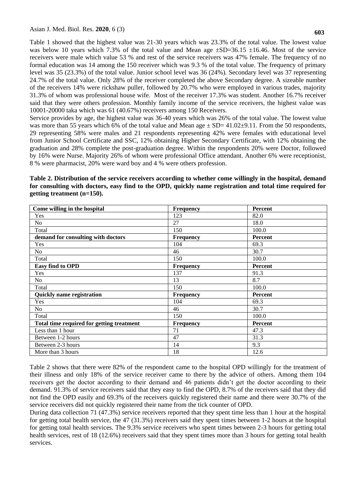Table 1 showed that the highest value was 21-30 years which was 23.3% of the total value. The lowest value was below 10 years which 7.3% of the total value and Mean age  $\pm SD=36.15 \pm 16.46$ . Most of the service receivers were male which value 53 % and rest of the service receivers was 47% female. The frequency of no formal education was 14 among the 150 receiver which was 9.3 % of the total value. The frequency of primary level was 35 (23.3%) of the total value. Junior school level was 36 (24%). Secondary level was 37 representing 24.7% of the total value. Only 28% of the receiver completed the above Secondary degree. A sizeable number of the receivers 14% were rickshaw puller, followed by 20.7% who were employed in various trades, majority 31.3% of whom was professional house wife. Most of the receiver 17.3% was student. Another 16.7% receiver said that they were others profession. Monthly family income of the service receivers, the highest value was 10001-20000 taka which was 61 (40.67%) receivers among 150 Receivers.

Service provides by age, the highest value was 36-40 years which was 26% of the total value. The lowest value was more than 55 years which 6% of the total value and Mean age  $\pm$  SD= 41.02 $\pm$ 9.11. From the 50 respondents, 29 representing 58% were males and 21 respondents representing 42% were females with educational level from Junior School Certificate and SSC, 12% obtaining Higher Secondary Certificate, with 12% obtaining the graduation and 28% complete the post-graduation degree. Within the respondents 20% were Doctor, followed by 16% were Nurse. Majority 26% of whom were professional Office attendant. Another 6% were receptionist, 8 % were pharmacist, 20% were ward boy and 4 % were others profession.

**Table 2. Distribution of the service receivers according to whether come willingly in the hospital, demand for consulting with doctors, easy find to the OPD, quickly name registration and total time required for getting treatment (n=150).**

| Come willing in the hospital              | Frequency        | Percent        |
|-------------------------------------------|------------------|----------------|
| Yes                                       | 123              | 82.0           |
| N <sub>o</sub>                            | 27               | 18.0           |
| Total                                     | 150              | 100.0          |
| demand for consulting with doctors        | <b>Frequency</b> | Percent        |
| Yes                                       | 104              | 69.3           |
| N <sub>o</sub>                            | 46               | 30.7           |
| Total                                     | 150              | 100.0          |
| Easy find to OPD                          | <b>Frequency</b> | <b>Percent</b> |
| Yes                                       | 137              | 91.3           |
| N <sub>o</sub>                            | 13               | 8.7            |
| Total                                     | 150              | 100.0          |
| <b>Quickly name registration</b>          | <b>Frequency</b> | <b>Percent</b> |
| Yes                                       | 104              | 69.3           |
| N <sub>o</sub>                            | 46               | 30.7           |
| Total                                     | 150              | 100.0          |
| Total time required for getting treatment | <b>Frequency</b> | Percent        |
| Less than 1 hour                          | 71               | 47.3           |
| Between 1-2 hours                         | 47               | 31.3           |
| Between 2-3 hours                         | 14               | 9.3            |
| More than 3 hours                         | 18               | 12.6           |

Table 2 shows that there were 82% of the respondent came to the hospital OPD willingly for the treatment of their illness and only 18% of the service receiver came to there by the advice of others. Among them 104 receivers get the doctor according to their demand and 46 patients didn't get the doctor according to their demand. 91.3% of service receivers said that they easy to find the OPD, 8.7% of the receivers said that they did not find the OPD easily and 69.3% of the receivers quickly registered their name and there were 30.7% of the service receivers did not quickly registered their name from the tick counter of OPD.

During data collection 71 (47.3%) service receivers reported that they spent time less than 1 hour at the hospital for getting total health service, the 47 (31.3%) receivers said they spent times between 1-2 hours at the hospital for getting total health services. The 9.3% service receivers who spent times between 2-3 hours for getting total health services, rest of 18 (12.6%) receivers said that they spent times more than 3 hours for getting total health services.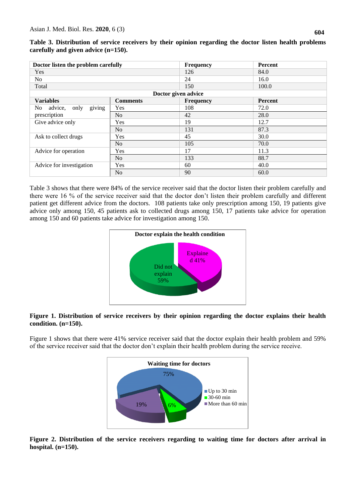| Doctor listen the problem carefully |                 | <b>Frequency</b> | Percent        |  |  |  |
|-------------------------------------|-----------------|------------------|----------------|--|--|--|
| Yes                                 |                 | 126              | 84.0           |  |  |  |
| N <sub>o</sub>                      |                 | 24               | 16.0           |  |  |  |
| Total                               |                 | 150              | 100.0          |  |  |  |
| Doctor given advice                 |                 |                  |                |  |  |  |
| <b>Variables</b>                    | <b>Comments</b> | <b>Frequency</b> | <b>Percent</b> |  |  |  |
| giving<br>advice,<br>No.<br>only    | Yes             | 108              | 72.0           |  |  |  |
| prescription                        | No              | 42               | 28.0           |  |  |  |
| Give advice only                    | Yes             | 19               | 12.7           |  |  |  |
|                                     | No.             | 131              | 87.3           |  |  |  |
| Ask to collect drugs                | Yes             | 45               | 30.0           |  |  |  |
|                                     | No              | 105              | 70.0           |  |  |  |
| Advice for operation                | Yes             | 17               | 11.3           |  |  |  |
|                                     | N <sub>o</sub>  | 133              | 88.7           |  |  |  |

**Table 3. Distribution of service receivers by their opinion regarding the doctor listen health problems carefully and given advice (n=150).**

Table 3 shows that there were 84% of the service receiver said that the doctor listen their problem carefully and there were 16 % of the service receiver said that the doctor don't listen their problem carefully and different patient get different advice from the doctors. 108 patients take only prescription among 150, 19 patients give advice only among 150, 45 patients ask to collected drugs among 150, 17 patients take advice for operation among 150 and 60 patients take advice for investigation among 150.

No 60.0

Advice for investigation Res Res 1 40.0



## **Figure 1. Distribution of service receivers by their opinion regarding the doctor explains their health condition. (n=150).**

Figure 1 shows that there were 41% service receiver said that the doctor explain their health problem and 59% of the service receiver said that the doctor don't explain their health problem during the service receive.



**Figure 2. Distribution of the service receivers regarding to waiting time for doctors after arrival in hospital. (n=150).**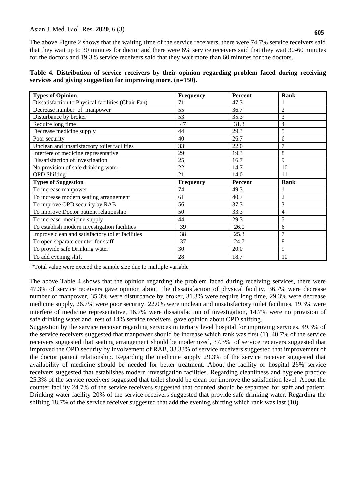The above Figure 2 shows that the waiting time of the service receivers, there were 74.7% service receivers said that they wait up to 30 minutes for doctor and there were 6% service receivers said that they wait 30-60 minutes for the doctors and 19.3% service receivers said that they wait more than 60 minutes for the doctors.

| Table 4. Distribution of service receivers by their opinion regarding problem faced during receiving |  |  |  |  |  |
|------------------------------------------------------------------------------------------------------|--|--|--|--|--|
| services and giving suggestion for improving more. $(n=150)$ .                                       |  |  |  |  |  |

| <b>Types of Opinion</b>                            | <b>Frequency</b> | Percent | Rank           |
|----------------------------------------------------|------------------|---------|----------------|
| Dissatisfaction to Physical facilities (Chair Fan) | 71               | 47.3    |                |
| Decrease number of manpower                        | 55               | 36.7    | $\overline{2}$ |
| Disturbance by broker                              | 53               | 35.3    | 3              |
| Require long time                                  | 47               | 31.3    | 4              |
| Decrease medicine supply                           | 44               | 29.3    | 5              |
| Poor security                                      | 40               | 26.7    | 6              |
| Unclean and unsatisfactory toilet facilities       | 33               | 22.0    | $\overline{7}$ |
| Interfere of medicine representative               | 29               | 19.3    | 8              |
| Dissatisfaction of investigation                   | 25               | 16.7    | 9              |
| No provision of safe drinking water                | 22               | 14.7    | 10             |
| <b>OPD</b> Shifting                                | 21               | 14.0    | 11             |
| <b>Types of Suggestion</b>                         | Frequency        | Percent | Rank           |
| To increase manpower                               | 74               | 49.3    |                |
| To increase modern seating arrangement             | 61               | 40.7    | $\overline{2}$ |
| To improve OPD security by RAB                     | 56               | 37.3    | 3              |
| To improve Doctor patient relationship             | 50               | 33.3    | 4              |
| To increase medicine supply                        | 44               | 29.3    | 5              |
| To establish modern investigation facilities       | 39               | 26.0    | 6              |
| Improve clean and satisfactory toilet facilities   | 38               | 25.3    | 7              |
| To open separate counter for staff                 | 37               | 24.7    | 8              |
| To provide safe Drinking water                     | 30               | 20.0    | 9              |
| To add evening shift                               | 28               | 18.7    | 10             |

\*Total value were exceed the sample size due to multiple variable

The above Table 4 shows that the opinion regarding the problem faced during receiving services, there were 47.3% of service receivers gave opinion about the dissatisfaction of physical facility, 36.7% were decrease number of manpower, 35.3% were disturbance by broker, 31.3% were require long time, 29.3% were decrease medicine supply, 26.7% were poor security. 22.0% were unclean and unsatisfactory toilet facilities, 19.3% were interfere of medicine representative, 16.7% were dissatisfaction of investigation, 14.7% were no provision of safe drinking water and rest of 14% service receivers gave opinion about OPD shifting.

Suggestion by the service receiver regarding services in tertiary level hospital for improving services. 49.3% of the service receivers suggested that manpower should be increase which rank was first (1). 40.7% of the service receivers suggested that seating arrangement should be modernized, 37.3% of service receivers suggested that improved the OPD security by involvement of RAB, 33.33% of service receivers suggested that improvement of the doctor patient relationship. Regarding the medicine supply 29.3% of the service receiver suggested that availability of medicine should be needed for better treatment. About the facility of hospital 26% service receivers suggested that establishes modern investigation facilities. Regarding cleanliness and hygiene practice 25.3% of the service receivers suggested that toilet should be clean for improve the satisfaction level. About the counter facility 24.7% of the service receivers suggested that counted should be separated for staff and patient. Drinking water facility 20% of the service receivers suggested that provide safe drinking water. Regarding the shifting 18.7% of the service receiver suggested that add the evening shifting which rank was last (10).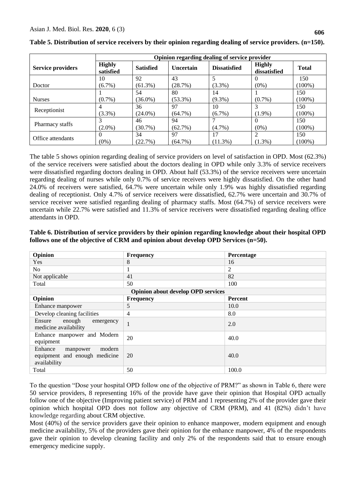|                          | Opinion regarding dealing of service provider |                  |                  |                     |                               |              |
|--------------------------|-----------------------------------------------|------------------|------------------|---------------------|-------------------------------|--------------|
| <b>Service providers</b> | <b>Highly</b><br>satisfied                    | <b>Satisfied</b> | <b>Uncertain</b> | <b>Dissatisfied</b> | <b>Highly</b><br>dissatisfied | <b>Total</b> |
|                          | 10                                            | 92               | 43               |                     | 0                             | 150          |
| Doctor                   | $(6.7\%)$                                     | $(61.3\%)$       | (28.7%)          | $(3.3\%)$           | $(0\%)$                       | $(100\%)$    |
|                          |                                               | 54               | 80               | 14                  |                               | 150          |
| <b>Nurses</b>            | $(0.7\%)$                                     | $(36.0\%)$       | $(53.3\%)$       | $(9.3\%)$           | $(0.7\%)$                     | $(100\%)$    |
|                          | 4                                             | 36               | 97               | 10                  |                               | 150          |
| Receptionist             | $(3.3\%)$                                     | $(24.0\%)$       | $(64.7\%)$       | $(6.7\%)$           | $(1.9\%)$                     | $(100\%)$    |
|                          |                                               | 46               | 94               |                     | 0                             | 150          |
| Pharmacy staffs          | $(2.0\%)$                                     | $(30.7\%)$       | (62.7%)          | $(4.7\%)$           | $(0\%)$                       | $(100\%)$    |
|                          |                                               | 34               | 97               | 17                  | 2                             | 150          |
| Office attendants        | $(0\%)$                                       | (22.7%)          | $(64.7\%)$       | $(11.3\%)$          | $(1.3\%)$                     | $(100\%)$    |

**Table 5. Distribution of service receivers by their opinion regarding dealing of service providers. (n=150).**

The table 5 shows opinion regarding dealing of service providers on level of satisfaction in OPD. Most (62.3%) of the service receivers were satisfied about the doctors dealing in OPD while only 3.3% of service receivers were dissatisfied regarding doctors dealing in OPD. About half (53.3%) of the service receivers were uncertain regarding dealing of nurses while only 0.7% of service receivers were highly dissatisfied. On the other hand 24.0% of receivers were satisfied, 64.7% were uncertain while only 1.9% was highly dissatisfied regarding dealing of receptionist. Only 4.7% of service receivers were dissatisfied, 62.7% were uncertain and 30.7% of service receiver were satisfied regarding dealing of pharmacy staffs. Most (64.7%) of service receivers were uncertain while 22.7% were satisfied and 11.3% of service receivers were dissatisfied regarding dealing office attendants in OPD.

**Table 6. Distribution of service providers by their opinion regarding knowledge about their hospital OPD follows one of the objective of CRM and opinion about develop OPD Services (n=50).**

| Opinion                                                                        | <b>Frequency</b>                          | Percentage |  |
|--------------------------------------------------------------------------------|-------------------------------------------|------------|--|
| Yes                                                                            | 8                                         | 16         |  |
| N <sub>o</sub>                                                                 |                                           | 2          |  |
| Not applicable                                                                 | 41                                        | 82         |  |
| Total                                                                          | 50                                        | 100        |  |
|                                                                                | <b>Opinion about develop OPD services</b> |            |  |
| Opinion                                                                        | <b>Frequency</b>                          | Percent    |  |
| Enhance manpower                                                               | 5                                         | 10.0       |  |
| Develop cleaning facilities                                                    | 4                                         | 8.0        |  |
| Ensure<br>enough<br>emergency<br>medicine availability                         | $\mathbf{I}$                              | 2.0        |  |
| Enhance manpower and Modern<br>equipment                                       | 20                                        | 40.0       |  |
| Enhance<br>modern<br>manpower<br>equipment and enough medicine<br>availability | 20                                        | 40.0       |  |
| Total                                                                          | 50                                        | 100.0      |  |

To the question "Dose your hospital OPD follow one of the objective of PRM?" as shown in Table 6, there were 50 service providers, 8 representing 16% of the provide have gave their opinion that Hospital OPD actually follow one of the objective (Improving patient service) of PRM and 1 representing 2% of the provider gave their opinion which hospital OPD does not follow any objective of CRM (PRM), and 41 (82%) didn't have knowledge regarding about CRM objective.

Most (40%) of the service providers gave their opinion to enhance manpower, modern equipment and enough medicine availability, 5% of the providers gave their opinion for the enhance manpower, 4% of the respondents gave their opinion to develop cleaning facility and only 2% of the respondents said that to ensure enough emergency medicine supply.